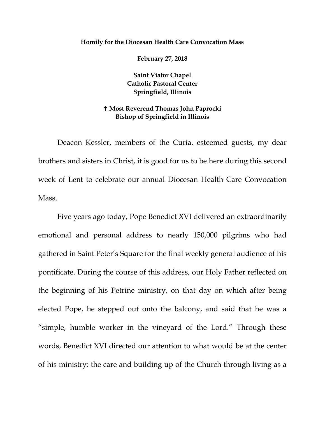## **Homily for the Diocesan Health Care Convocation Mass**

**February 27, 2018** 

**Saint Viator Chapel Catholic Pastoral Center Springfield, Illinois** 

## **Most Reverend Thomas John Paprocki Bishop of Springfield in Illinois**

Deacon Kessler, members of the Curia, esteemed guests, my dear brothers and sisters in Christ, it is good for us to be here during this second week of Lent to celebrate our annual Diocesan Health Care Convocation Mass.

Five years ago today, Pope Benedict XVI delivered an extraordinarily emotional and personal address to nearly 150,000 pilgrims who had gathered in Saint Peter's Square for the final weekly general audience of his pontificate. During the course of this address, our Holy Father reflected on the beginning of his Petrine ministry, on that day on which after being elected Pope, he stepped out onto the balcony, and said that he was a "simple, humble worker in the vineyard of the Lord." Through these words, Benedict XVI directed our attention to what would be at the center of his ministry: the care and building up of the Church through living as a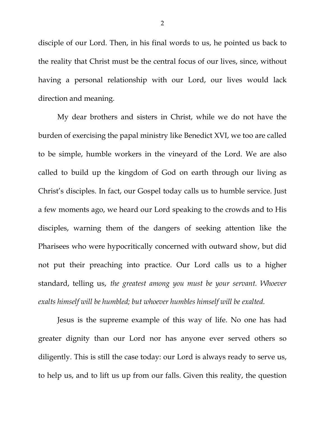disciple of our Lord. Then, in his final words to us, he pointed us back to the reality that Christ must be the central focus of our lives, since, without having a personal relationship with our Lord, our lives would lack direction and meaning.

My dear brothers and sisters in Christ, while we do not have the burden of exercising the papal ministry like Benedict XVI, we too are called to be simple, humble workers in the vineyard of the Lord. We are also called to build up the kingdom of God on earth through our living as Christ's disciples. In fact, our Gospel today calls us to humble service. Just a few moments ago, we heard our Lord speaking to the crowds and to His disciples, warning them of the dangers of seeking attention like the Pharisees who were hypocritically concerned with outward show, but did not put their preaching into practice. Our Lord calls us to a higher standard, telling us, *the greatest among you must be your servant. Whoever exalts himself will be humbled; but whoever humbles himself will be exalted.*

Jesus is the supreme example of this way of life. No one has had greater dignity than our Lord nor has anyone ever served others so diligently. This is still the case today: our Lord is always ready to serve us, to help us, and to lift us up from our falls. Given this reality, the question